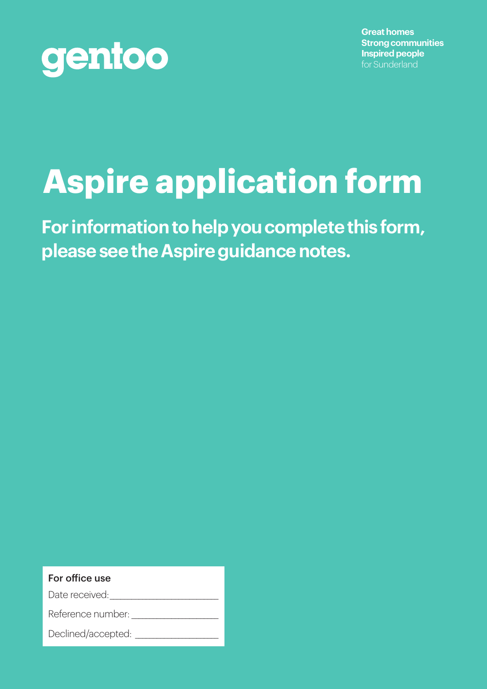

**Great homes Strong communities Inspired people** for Sunderland

# **Aspire application form**

**For information to help you complete this form, please see the Aspire guidance notes.**

#### For office use

Date received:

Reference number:

Declined/accepted: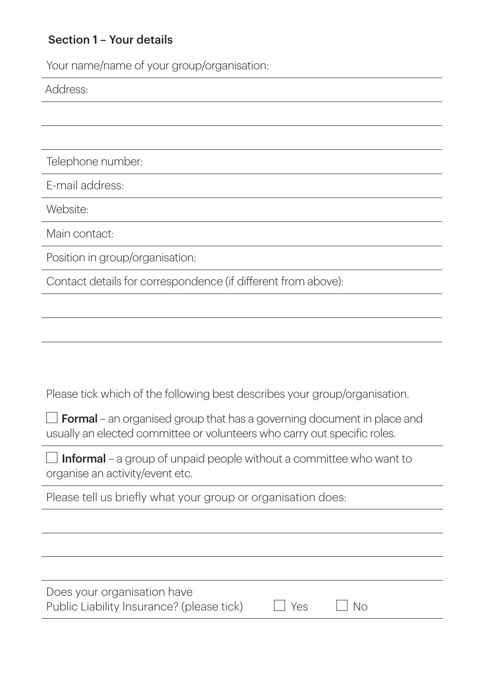## Section 1 – Your details

Your name/name of your group/organisation:

Address:

Telephone number:

E-mail address:

Website:

Main contact:

Position in group/organisation:

Contact details for correspondence (if different from above):

Please tick which of the following best describes your group/organisation.

 $\Box$  Formal – an organised group that has a governing document in place and usually an elected committee or volunteers who carry out specific roles.

 $\Box$  Informal – a group of unpaid people without a committee who want to organise an activity/event etc.

Please tell us briefly what your group or organisation does:

| Does your organisation have               |            |                |  |
|-------------------------------------------|------------|----------------|--|
| Public Liability Insurance? (please tick) | $\Box$ Yes | N <sub>O</sub> |  |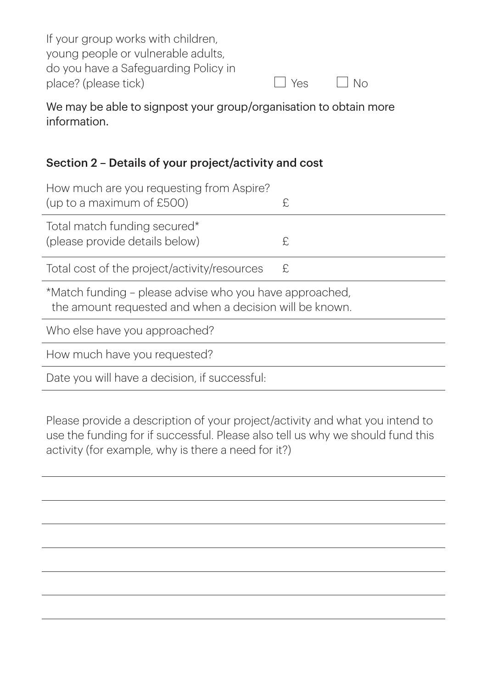| If your group works with children,   |                  |                    |  |
|--------------------------------------|------------------|--------------------|--|
| young people or vulnerable adults,   |                  |                    |  |
| do you have a Safeguarding Policy in |                  |                    |  |
| place? (please tick)                 | $ $ $ $ $Y_{ES}$ | $\vert$ $\vert$ No |  |

We may be able to signpost your group/organisation to obtain more information.

## Section 2 – Details of your project/activity and cost

| How much are you requesting from Aspire?<br>(up to a maximum of £500)                                              | £ |  |
|--------------------------------------------------------------------------------------------------------------------|---|--|
| Total match funding secured*<br>(please provide details below)                                                     | £ |  |
| Total cost of the project/activity/resources                                                                       | £ |  |
| *Match funding – please advise who you have approached,<br>the amount requested and when a decision will be known. |   |  |
| Who else have you approached?                                                                                      |   |  |
| How much have you requested?                                                                                       |   |  |
| Date you will have a decision, if successful:                                                                      |   |  |

Please provide a description of your project/activity and what you intend to use the funding for if successful. Please also tell us why we should fund this activity (for example, why is there a need for it?)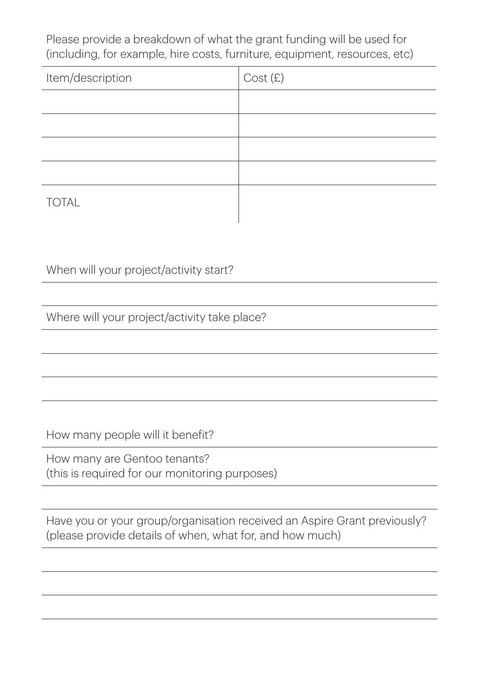Please provide a breakdown of what the grant funding will be used for (including, for example, hire costs, furniture, equipment, resources, etc)

| Item/description | Cost (£) |
|------------------|----------|
|                  |          |
|                  |          |
|                  |          |
|                  |          |
| <b>TOTAL</b>     |          |

When will your project/activity start?

Where will your project/activity take place?

How many people will it benefit?

How many are Gentoo tenants? (this is required for our monitoring purposes)

Have you or your group/organisation received an Aspire Grant previously? (please provide details of when, what for, and how much)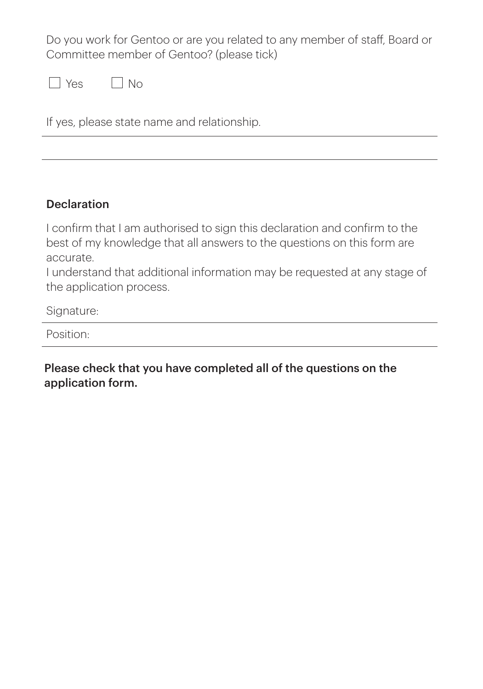Do you work for Gentoo or are you related to any member of staff, Board or Committee member of Gentoo? (please tick)

| $\cap$ | Nο |
|--------|----|
|--------|----|

If yes, please state name and relationship.

### **Declaration**

I confirm that I am authorised to sign this declaration and confirm to the best of my knowledge that all answers to the questions on this form are accurate.

I understand that additional information may be requested at any stage of the application process.

Signature:

Position:

Please check that you have completed all of the questions on the application form.